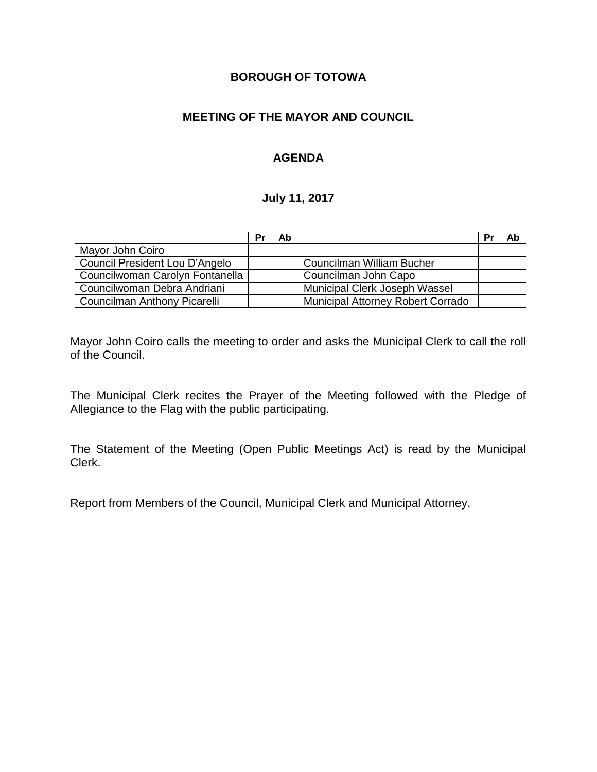## **BOROUGH OF TOTOWA**

## **MEETING OF THE MAYOR AND COUNCIL**

## **AGENDA**

### **July 11, 2017**

|                                 | Pr | Ab |                                          | Pr | Ab |
|---------------------------------|----|----|------------------------------------------|----|----|
| Mayor John Coiro                |    |    |                                          |    |    |
| Council President Lou D'Angelo  |    |    | <b>Councilman William Bucher</b>         |    |    |
| Councilwoman Carolyn Fontanella |    |    | Councilman John Capo                     |    |    |
| Councilwoman Debra Andriani     |    |    | Municipal Clerk Joseph Wassel            |    |    |
| Councilman Anthony Picarelli    |    |    | <b>Municipal Attorney Robert Corrado</b> |    |    |

Mayor John Coiro calls the meeting to order and asks the Municipal Clerk to call the roll of the Council.

The Municipal Clerk recites the Prayer of the Meeting followed with the Pledge of Allegiance to the Flag with the public participating.

The Statement of the Meeting (Open Public Meetings Act) is read by the Municipal Clerk.

Report from Members of the Council, Municipal Clerk and Municipal Attorney.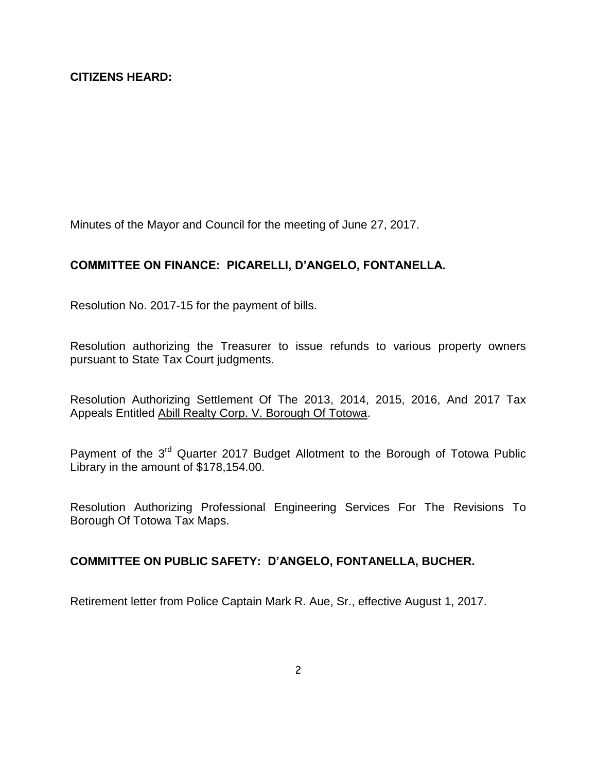Minutes of the Mayor and Council for the meeting of June 27, 2017.

# **COMMITTEE ON FINANCE: PICARELLI, D'ANGELO, FONTANELLA.**

Resolution No. 2017-15 for the payment of bills.

Resolution authorizing the Treasurer to issue refunds to various property owners pursuant to State Tax Court judgments.

Resolution Authorizing Settlement Of The 2013, 2014, 2015, 2016, And 2017 Tax Appeals Entitled Abill Realty Corp. V. Borough Of Totowa.

Payment of the 3<sup>rd</sup> Quarter 2017 Budget Allotment to the Borough of Totowa Public Library in the amount of \$178,154.00.

Resolution Authorizing Professional Engineering Services For The Revisions To Borough Of Totowa Tax Maps.

### **COMMITTEE ON PUBLIC SAFETY: D'ANGELO, FONTANELLA, BUCHER.**

Retirement letter from Police Captain Mark R. Aue, Sr., effective August 1, 2017.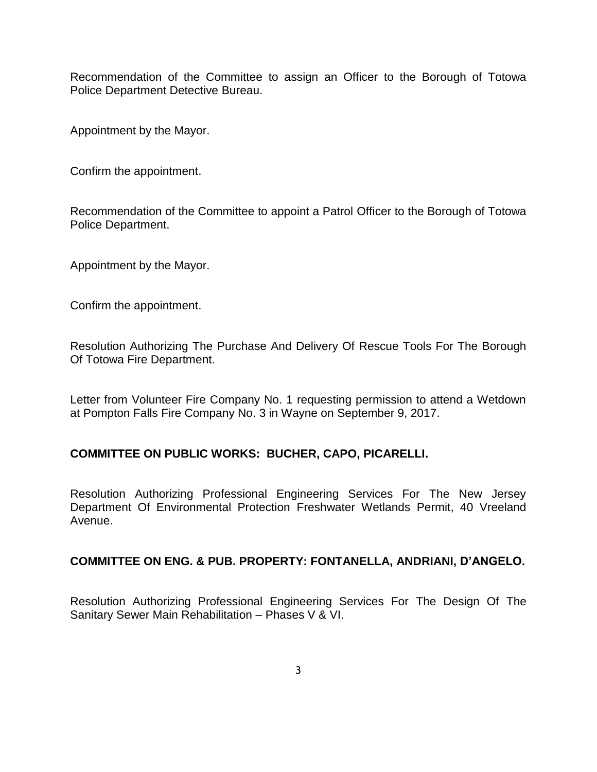Recommendation of the Committee to assign an Officer to the Borough of Totowa Police Department Detective Bureau.

Appointment by the Mayor.

Confirm the appointment.

Recommendation of the Committee to appoint a Patrol Officer to the Borough of Totowa Police Department.

Appointment by the Mayor.

Confirm the appointment.

Resolution Authorizing The Purchase And Delivery Of Rescue Tools For The Borough Of Totowa Fire Department.

Letter from Volunteer Fire Company No. 1 requesting permission to attend a Wetdown at Pompton Falls Fire Company No. 3 in Wayne on September 9, 2017.

### **COMMITTEE ON PUBLIC WORKS: BUCHER, CAPO, PICARELLI.**

Resolution Authorizing Professional Engineering Services For The New Jersey Department Of Environmental Protection Freshwater Wetlands Permit, 40 Vreeland Avenue.

#### **COMMITTEE ON ENG. & PUB. PROPERTY: FONTANELLA, ANDRIANI, D'ANGELO.**

Resolution Authorizing Professional Engineering Services For The Design Of The Sanitary Sewer Main Rehabilitation – Phases V & VI.